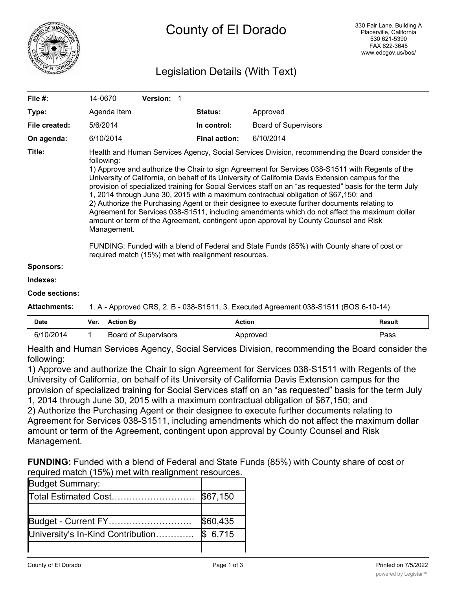

# Legislation Details (With Text)

| File $#$ :                 | 14-0670                                                                                                                                                                                                                                                                                                                                                                                                                                                                                                                                                                                                                                                                                                                                                                                                                                                                                                                                                                                  | <b>Version: 1</b> |                      |                             |  |
|----------------------------|------------------------------------------------------------------------------------------------------------------------------------------------------------------------------------------------------------------------------------------------------------------------------------------------------------------------------------------------------------------------------------------------------------------------------------------------------------------------------------------------------------------------------------------------------------------------------------------------------------------------------------------------------------------------------------------------------------------------------------------------------------------------------------------------------------------------------------------------------------------------------------------------------------------------------------------------------------------------------------------|-------------------|----------------------|-----------------------------|--|
| Type:                      | Agenda Item                                                                                                                                                                                                                                                                                                                                                                                                                                                                                                                                                                                                                                                                                                                                                                                                                                                                                                                                                                              |                   | <b>Status:</b>       | Approved                    |  |
| File created:              | 5/6/2014                                                                                                                                                                                                                                                                                                                                                                                                                                                                                                                                                                                                                                                                                                                                                                                                                                                                                                                                                                                 |                   | In control:          | <b>Board of Supervisors</b> |  |
| On agenda:                 | 6/10/2014                                                                                                                                                                                                                                                                                                                                                                                                                                                                                                                                                                                                                                                                                                                                                                                                                                                                                                                                                                                |                   | <b>Final action:</b> | 6/10/2014                   |  |
| Title:<br><b>Sponsors:</b> | Health and Human Services Agency, Social Services Division, recommending the Board consider the<br>following:<br>1) Approve and authorize the Chair to sign Agreement for Services 038-S1511 with Regents of the<br>University of California, on behalf of its University of California Davis Extension campus for the<br>provision of specialized training for Social Services staff on an "as requested" basis for the term July<br>1, 2014 through June 30, 2015 with a maximum contractual obligation of \$67,150; and<br>2) Authorize the Purchasing Agent or their designee to execute further documents relating to<br>Agreement for Services 038-S1511, including amendments which do not affect the maximum dollar<br>amount or term of the Agreement, contingent upon approval by County Counsel and Risk<br>Management.<br>FUNDING: Funded with a blend of Federal and State Funds (85%) with County share of cost or<br>required match (15%) met with realignment resources. |                   |                      |                             |  |
|                            |                                                                                                                                                                                                                                                                                                                                                                                                                                                                                                                                                                                                                                                                                                                                                                                                                                                                                                                                                                                          |                   |                      |                             |  |

#### **Indexes:**

#### **Code sections:**

**Attachments:** 1. A - Approved CRS, 2. B - 038-S1511, 3. Executed Agreement 038-S1511 (BOS 6-10-14)

| Date      | Ver. | <b>Action By</b>            | Action   | <b>Result</b> |
|-----------|------|-----------------------------|----------|---------------|
| 6/10/2014 |      | <b>Board of Supervisors</b> | Approved | Pass          |

Health and Human Services Agency, Social Services Division, recommending the Board consider the following:

1) Approve and authorize the Chair to sign Agreement for Services 038-S1511 with Regents of the University of California, on behalf of its University of California Davis Extension campus for the provision of specialized training for Social Services staff on an "as requested" basis for the term July 1, 2014 through June 30, 2015 with a maximum contractual obligation of \$67,150; and 2) Authorize the Purchasing Agent or their designee to execute further documents relating to Agreement for Services 038-S1511, including amendments which do not affect the maximum dollar amount or term of the Agreement, contingent upon approval by County Counsel and Risk Management.

**FUNDING:** Funded with a blend of Federal and State Funds (85%) with County share of cost or required match (15%) met with realignment resources.

| Budget Summary:                   |          |
|-----------------------------------|----------|
| Total Estimated Cost              | \$67,150 |
|                                   |          |
| Budget - Current FY               | \$60,435 |
| University's In-Kind Contribution | \$6,715  |
|                                   |          |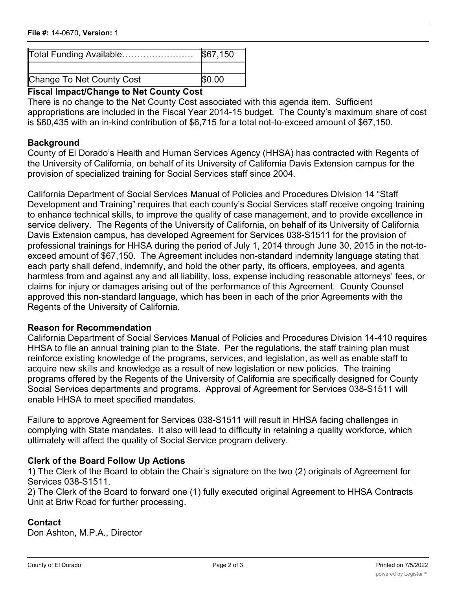# **File #:** 14-0670, **Version:** 1

| Total Funding Available   | \$67,150 |
|---------------------------|----------|
|                           |          |
| Change To Net County Cost | \$0.00   |

### **Fiscal Impact/Change to Net County Cost**

There is no change to the Net County Cost associated with this agenda item. Sufficient appropriations are included in the Fiscal Year 2014-15 budget. The County's maximum share of cost is \$60,435 with an in-kind contribution of \$6,715 for a total not-to-exceed amount of \$67,150.

#### **Background**

County of El Dorado's Health and Human Services Agency (HHSA) has contracted with Regents of the University of California, on behalf of its University of California Davis Extension campus for the provision of specialized training for Social Services staff since 2004.

California Department of Social Services Manual of Policies and Procedures Division 14 "Staff Development and Training" requires that each county's Social Services staff receive ongoing training to enhance technical skills, to improve the quality of case management, and to provide excellence in service delivery. The Regents of the University of California, on behalf of its University of California Davis Extension campus, has developed Agreement for Services 038-S1511 for the provision of professional trainings for HHSA during the period of July 1, 2014 through June 30, 2015 in the not-toexceed amount of \$67,150. The Agreement includes non-standard indemnity language stating that each party shall defend, indemnify, and hold the other party, its officers, employees, and agents harmless from and against any and all liability, loss, expense including reasonable attorneys' fees, or claims for injury or damages arising out of the performance of this Agreement. County Counsel approved this non-standard language, which has been in each of the prior Agreements with the Regents of the University of California.

### **Reason for Recommendation**

California Department of Social Services Manual of Policies and Procedures Division 14-410 requires HHSA to file an annual training plan to the State. Per the regulations, the staff training plan must reinforce existing knowledge of the programs, services, and legislation, as well as enable staff to acquire new skills and knowledge as a result of new legislation or new policies. The training programs offered by the Regents of the University of California are specifically designed for County Social Services departments and programs. Approval of Agreement for Services 038-S1511 will enable HHSA to meet specified mandates.

Failure to approve Agreement for Services 038-S1511 will result in HHSA facing challenges in complying with State mandates. It also will lead to difficulty in retaining a quality workforce, which ultimately will affect the quality of Social Service program delivery.

### **Clerk of the Board Follow Up Actions**

1) The Clerk of the Board to obtain the Chair's signature on the two (2) originals of Agreement for Services 038-S1511.

2) The Clerk of the Board to forward one (1) fully executed original Agreement to HHSA Contracts Unit at Briw Road for further processing.

### **Contact**

Don Ashton, M.P.A., Director